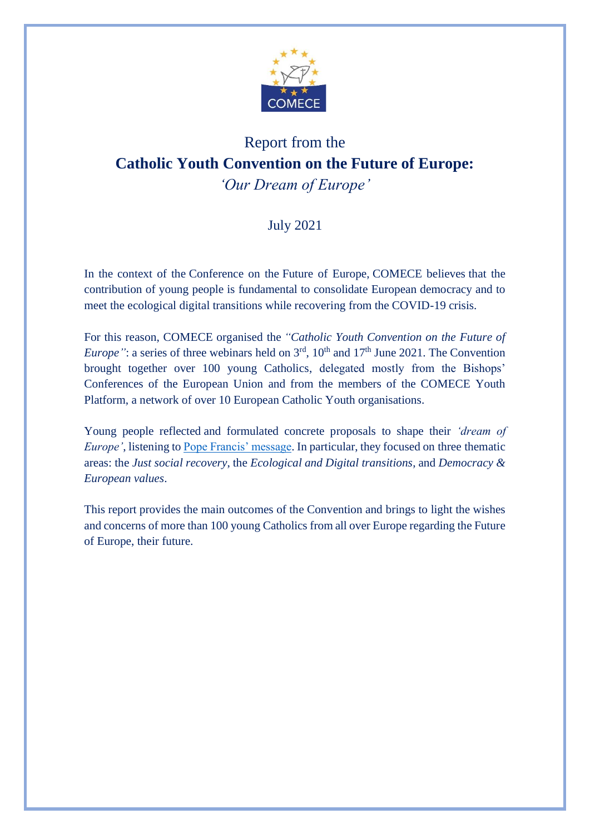

# Report from the **Catholic Youth Convention on the Future of Europe:** *'Our Dream of Europe'*

# July 2021

In the context of the Conference on the Future of Europe, COMECE believes that the contribution of young people is fundamental to consolidate European democracy and to meet the ecological digital transitions while recovering from the COVID-19 crisis.

For this reason, COMECE organised the *"Catholic Youth Convention on the Future of Europe*": a series of three webinars held on  $3<sup>rd</sup>$ ,  $10<sup>th</sup>$  and  $17<sup>th</sup>$  June 2021. The Convention brought together over 100 young Catholics, delegated mostly from the Bishops' Conferences of the European Union and from the members of the COMECE Youth Platform, a network of over 10 European Catholic Youth organisations.

Young people reflected and formulated concrete proposals to shape their *'dream of Europe'*, listening to [Pope Francis' message.](https://press.vatican.va/content/salastampa/en/bollettino/pubblico/2020/10/27/201027b.html?fbclid=IwAR347OOvv54moUGXtKJvQyMlYM5p0RFb1k2RRJ1ARWZJ5nM4D_0S3Tc_dhA) In particular, they focused on three thematic areas: the *Just social recovery*, the *Ecological and Digital transitions*, and *Democracy & European values*.

This report provides the main outcomes of the Convention and brings to light the wishes and concerns of more than 100 young Catholics from all over Europe regarding the Future of Europe, their future.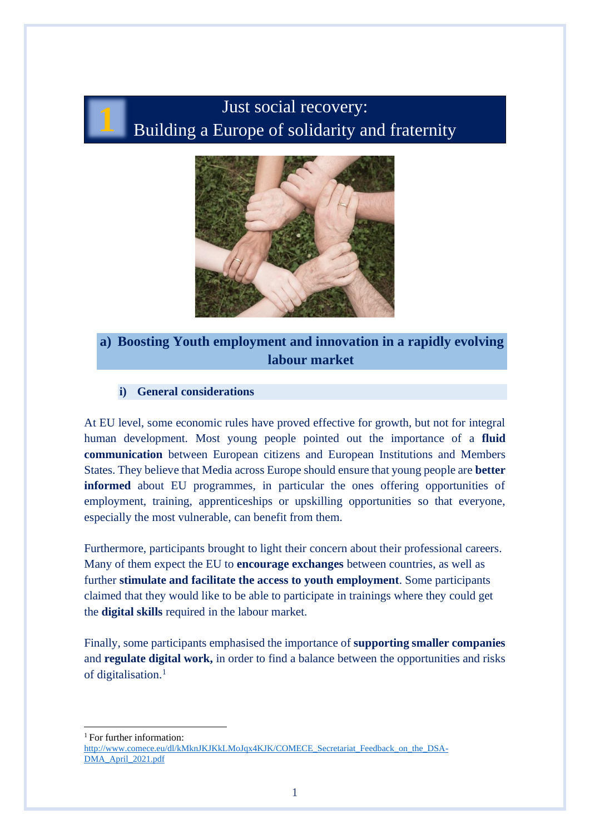# Just social recovery: Building a Europe of solidarity and fraternity



# **a) Boosting Youth employment and innovation in a rapidly evolving labour market**

#### **i) General considerations**

**1**

At EU level, some economic rules have proved effective for growth, but not for integral human development. Most young people pointed out the importance of a **fluid communication** between European citizens and European Institutions and Members States. They believe that Media across Europe should ensure that young people are **better informed** about EU programmes, in particular the ones offering opportunities of employment, training, apprenticeships or upskilling opportunities so that everyone, especially the most vulnerable, can benefit from them.

Furthermore, participants brought to light their concern about their professional careers. Many of them expect the EU to **encourage exchanges** between countries, as well as further **stimulate and facilitate the access to youth employment**. Some participants claimed that they would like to be able to participate in trainings where they could get the **digital skills** required in the labour market.

Finally, some participants emphasised the importance of **supporting smaller companies** and **regulate digital work,** in order to find a balance between the opportunities and risks of digitalisation. 1

<sup>1</sup> For further information:

[http://www.comece.eu/dl/kMknJKJKkLMoJqx4KJK/COMECE\\_Secretariat\\_Feedback\\_on\\_the\\_DSA-](http://www.comece.eu/dl/kMknJKJKkLMoJqx4KJK/COMECE_Secretariat_Feedback_on_the_DSA-DMA_April_2021.pdf)[DMA\\_April\\_2021.pdf](http://www.comece.eu/dl/kMknJKJKkLMoJqx4KJK/COMECE_Secretariat_Feedback_on_the_DSA-DMA_April_2021.pdf)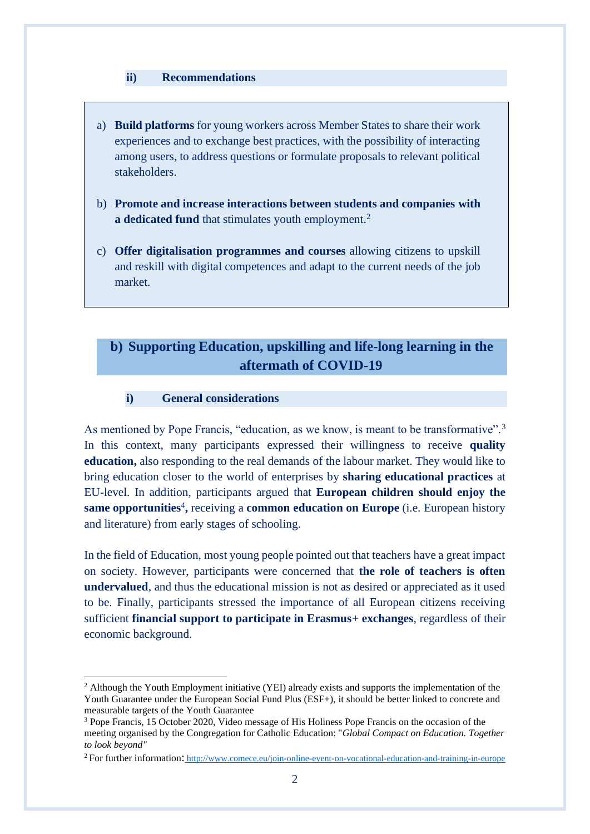#### **ii) Recommendations**

- a) **Build platforms** for young workers across Member States to share their work experiences and to exchange best practices, with the possibility of interacting among users, to address questions or formulate proposals to relevant political stakeholders.
- b) **Promote and increase interactions between students and companies with**  a dedicated fund that stimulates youth employment.<sup>2</sup>
- c) **Offer digitalisation programmes and courses** allowing citizens to upskill and reskill with digital competences and adapt to the current needs of the job market.

# **b) Supporting Education, upskilling and life-long learning in the aftermath of COVID-19**

**i) General considerations**

As mentioned by Pope Francis, "education, as we know, is meant to be transformative".<sup>3</sup> In this context, many participants expressed their willingness to receive **quality education,** also responding to the real demands of the labour market. They would like to bring education closer to the world of enterprises by **sharing educational practices** at EU-level. In addition, participants argued that **European children should enjoy the**  same opportunities<sup>4</sup>, receiving a **common education on Europe** (i.e. European history and literature) from early stages of schooling.

In the field of Education, most young people pointed out that teachers have a great impact on society. However, participants were concerned that **the role of teachers is often undervalued**, and thus the educational mission is not as desired or appreciated as it used to be. Finally, participants stressed the importance of all European citizens receiving sufficient **financial support to participate in Erasmus+ exchanges**, regardless of their economic background.

<sup>&</sup>lt;sup>2</sup> Although the Youth Employment initiative (YEI) already exists and supports the implementation of the Youth Guarantee under the European Social Fund Plus (ESF+), it should be better linked to concrete and measurable targets of the Youth Guarantee

<sup>3</sup> Pope Francis, 15 October 2020, Video message of His Holiness Pope Francis on the occasion of the meeting organised by the Congregation for Catholic Education: "*Global Compact on Education. Together to look beyond"*

<sup>2</sup>For further information: <http://www.comece.eu/join-online-event-on-vocational-education-and-training-in-europe>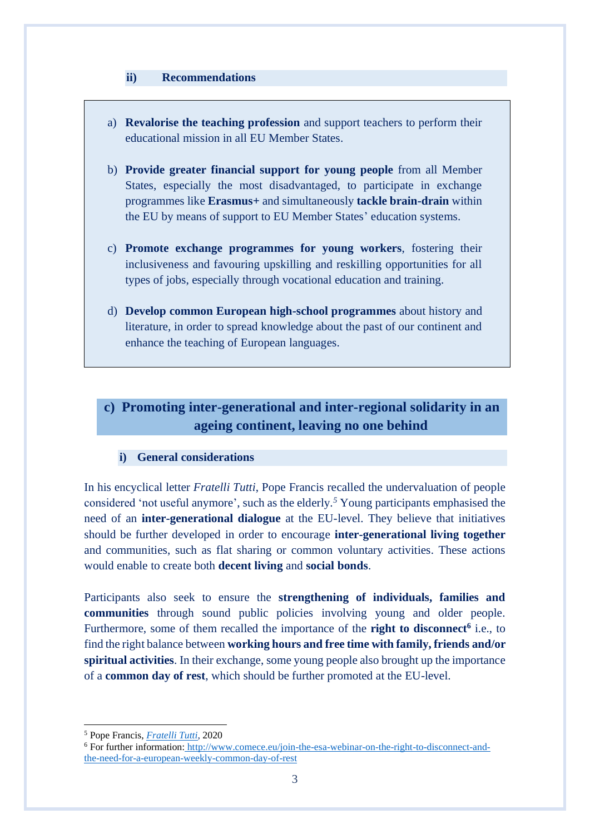#### **ii) Recommendations**

- a) **Revalorise the teaching profession** and support teachers to perform their educational mission in all EU Member States.
- b) **Provide greater financial support for young people** from all Member States, especially the most disadvantaged, to participate in exchange programmes like **Erasmus+** and simultaneously **tackle brain-drain** within the EU by means of support to EU Member States' education systems.
- c) **Promote exchange programmes for young workers**, fostering their inclusiveness and favouring upskilling and reskilling opportunities for all types of jobs, especially through vocational education and training.
- d) **Develop common European high-school programmes** about history and literature, in order to spread knowledge about the past of our continent and enhance the teaching of European languages.

# **c) Promoting inter-generational and inter-regional solidarity in an ageing continent, leaving no one behind**

#### **i) General considerations**

In his encyclical letter *Fratelli Tutti*, Pope Francis recalled the undervaluation of people considered 'not useful anymore', such as the elderly. *<sup>5</sup>* Young participants emphasised the need of an **inter-generational dialogue** at the EU-level. They believe that initiatives should be further developed in order to encourage **inter-generational living together** and communities, such as flat sharing or common voluntary activities. These actions would enable to create both **decent living** and **social bonds**.

Participants also seek to ensure the **strengthening of individuals, families and communities** through sound public policies involving young and older people. Furthermore, some of them recalled the importance of the **right to disconnect<sup>6</sup>** i.e., to find the right balance between **working hours and free time with family, friends and/or spiritual activities**. In their exchange, some young people also brought up the importance of a **common day of rest**, which should be further promoted at the EU-level.

<sup>5</sup> Pope Francis, *[Fratelli Tutti](https://www.vatican.va/content/francesco/en/encyclicals/documents/papa-francesco_20201003_enciclica-fratelli-tutti.html)*, 2020

<sup>6</sup> For further information: [http://www.comece.eu/join-the-esa-webinar-on-the-right-to-disconnect-and](http://www.comece.eu/join-the-esa-webinar-on-the-right-to-disconnect-and-the-need-for-a-european-weekly-common-day-of-rest)[the-need-for-a-european-weekly-common-day-of-rest](http://www.comece.eu/join-the-esa-webinar-on-the-right-to-disconnect-and-the-need-for-a-european-weekly-common-day-of-rest)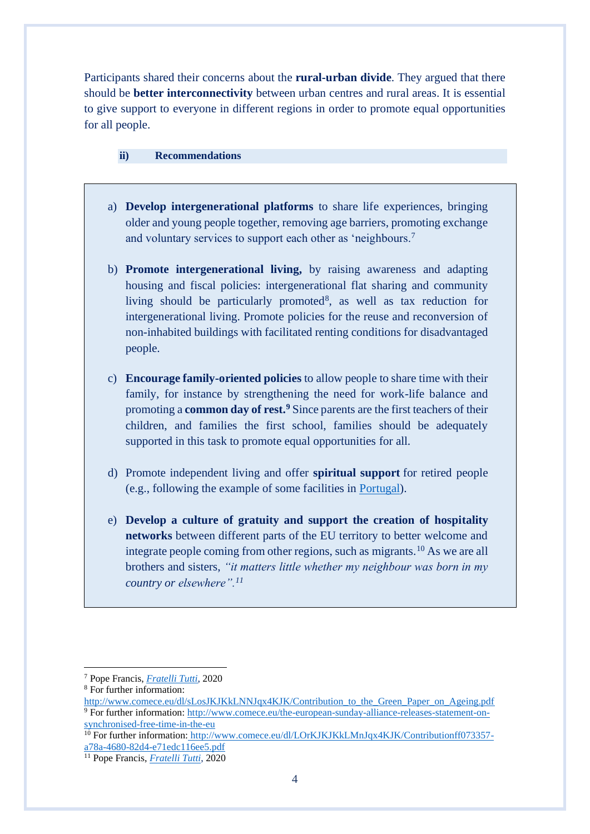Participants shared their concerns about the **rural-urban divide**. They argued that there should be **better interconnectivity** between urban centres and rural areas. It is essential to give support to everyone in different regions in order to promote equal opportunities for all people.

#### **ii) Recommendations**

- a) **Develop intergenerational platforms** to share life experiences, bringing older and young people together, removing age barriers, promoting exchange and voluntary services to support each other as 'neighbours.<sup>7</sup>
- b) **Promote intergenerational living,** by raising awareness and adapting housing and fiscal policies: intergenerational flat sharing and community living should be particularly promoted<sup>8</sup>, as well as tax reduction for intergenerational living. Promote policies for the reuse and reconversion of non-inhabited buildings with facilitated renting conditions for disadvantaged people.
- c) **Encourage family-oriented policies** to allow people to share time with their family, for instance by strengthening the need for work-life balance and promoting a **common day of rest.<sup>9</sup>** Since parents are the first teachers of their children, and families the first school, families should be adequately supported in this task to promote equal opportunities for all.
- d) Promote independent living and offer **spiritual support** for retired people (e.g., following the example of some facilities in [Portugal\)](https://tvi24.iol.pt/videos/sociedade/conheca-a-aldeia-de-sao-jose-de-alcalar-um-lar-que-nao-e-como-os-outros/5f96ca490cf2ec6e470ec00c).
- e) **Develop a culture of gratuity and support the creation of hospitality networks** between different parts of the EU territory to better welcome and integrate people coming from other regions, such as migrants.<sup>10</sup> As we are all brothers and sisters, *"it matters little whether my neighbour was born in my country or elsewhere".11*

<sup>7</sup> Pope Francis, *[Fratelli Tutti](https://www.vatican.va/content/francesco/en/encyclicals/documents/papa-francesco_20201003_enciclica-fratelli-tutti.html)*, 2020

<sup>8</sup> For further information:

http://www.comece.eu/dl/sLosJKJKkLNNJqx4KJK/Contribution to the Green Paper on Ageing.pdf <sup>9</sup> For further information: [http://www.comece.eu/the-european-sunday-alliance-releases-statement-on](http://www.comece.eu/the-european-sunday-alliance-releases-statement-on-synchronised-free-time-in-the-eu)[synchronised-free-time-in-the-eu](http://www.comece.eu/the-european-sunday-alliance-releases-statement-on-synchronised-free-time-in-the-eu)

<sup>&</sup>lt;sup>10</sup> For further information: [http://www.comece.eu/dl/LOrKJKJKkLMnJqx4KJK/Contributionff073357](http://www.comece.eu/dl/LOrKJKJKkLMnJqx4KJK/Contributionff073357-a78a-4680-82d4-e71edc116ee5.pdf) [a78a-4680-82d4-e71edc116ee5.pdf](http://www.comece.eu/dl/LOrKJKJKkLMnJqx4KJK/Contributionff073357-a78a-4680-82d4-e71edc116ee5.pdf)

<sup>11</sup> Pope Francis, *[Fratelli Tutti](https://www.vatican.va/content/francesco/en/encyclicals/documents/papa-francesco_20201003_enciclica-fratelli-tutti.html#_ftn136)*, 2020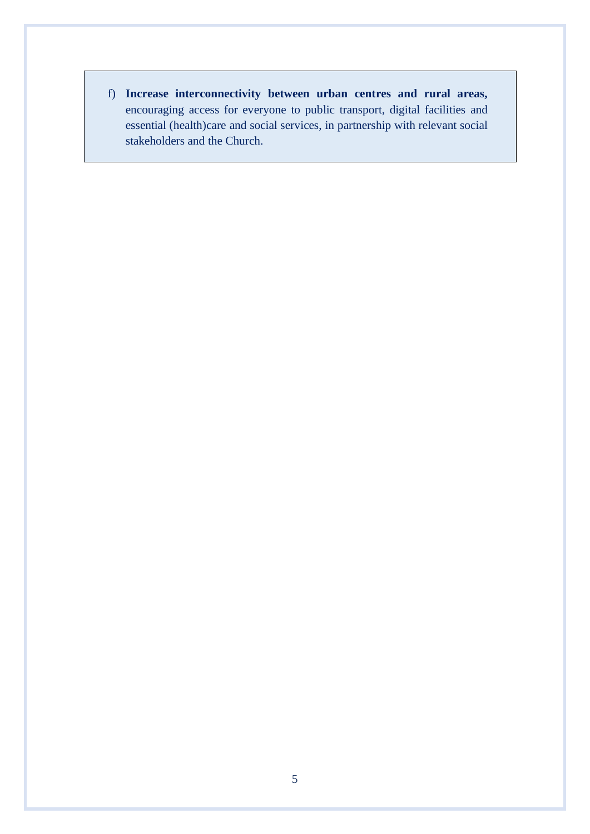f) **Increase interconnectivity between urban centres and rural areas,** encouraging access for everyone to public transport, digital facilities and essential (health)care and social services, in partnership with relevant social stakeholders and the Church.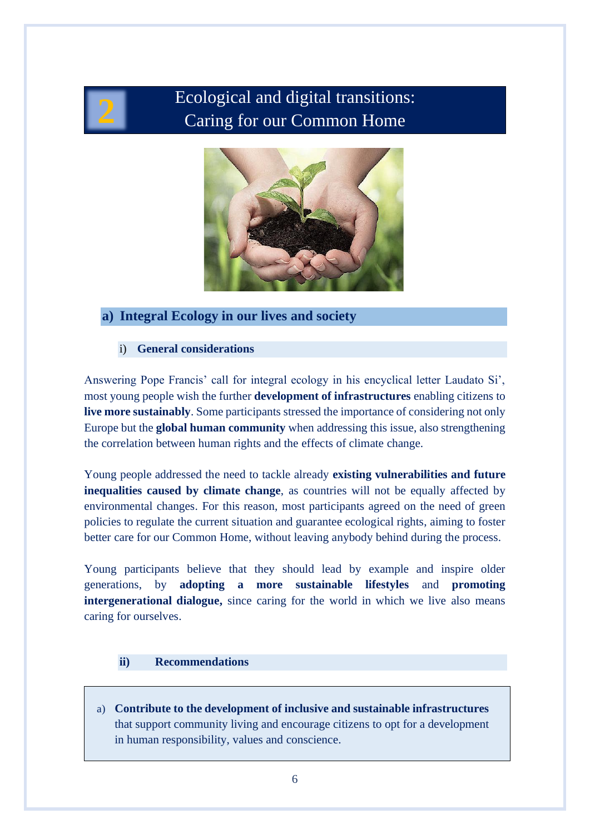

# Ecological and digital transitions: Caring for our Common Home



# **a) Integral Ecology in our lives and society**

#### i) **General considerations**

Answering Pope Francis' call for integral ecology in his encyclical letter Laudato Si', most young people wish the further **development of infrastructures** enabling citizens to **live more sustainably**. Some participants stressed the importance of considering not only Europe but the **global human community** when addressing this issue, also strengthening the correlation between human rights and the effects of climate change.

Young people addressed the need to tackle already **existing vulnerabilities and future inequalities caused by climate change**, as countries will not be equally affected by environmental changes. For this reason, most participants agreed on the need of green policies to regulate the current situation and guarantee ecological rights, aiming to foster better care for our Common Home, without leaving anybody behind during the process.

Young participants believe that they should lead by example and inspire older generations, by **adopting a more sustainable lifestyles** and **promoting intergenerational dialogue,** since caring for the world in which we live also means caring for ourselves.

#### **ii) Recommendations**

a) **Contribute to the development of inclusive and sustainable infrastructures** that support community living and encourage citizens to opt for a development in human responsibility, values and conscience.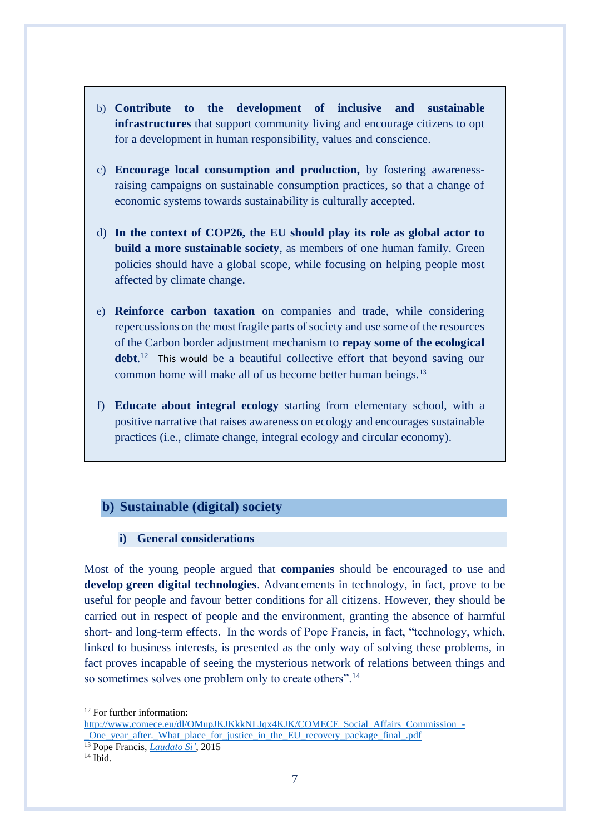- b) **Contribute to the development of inclusive and sustainable infrastructures** that support community living and encourage citizens to opt for a development in human responsibility, values and conscience.
- c) **Encourage local consumption and production,** by fostering awarenessraising campaigns on sustainable consumption practices, so that a change of economic systems towards sustainability is culturally accepted.
- d) **In the context of COP26, the EU should play its role as global actor to build a more sustainable society**, as members of one human family. Green policies should have a global scope, while focusing on helping people most affected by climate change.
- e) **Reinforce carbon taxation** on companies and trade, while considering repercussions on the most fragile parts of society and use some of the resources of the Carbon border adjustment mechanism to **repay some of the ecological**  debt.<sup>12</sup> This would be a beautiful collective effort that beyond saving our common home will make all of us become better human beings.<sup>13</sup>
- f) **Educate about integral ecology** starting from elementary school, with a positive narrative that raises awareness on ecology and encourages sustainable practices (i.e., climate change, integral ecology and circular economy).

## **b) Sustainable (digital) society**

#### **i) General considerations**

Most of the young people argued that **companies** should be encouraged to use and **develop green digital technologies**. Advancements in technology, in fact, prove to be useful for people and favour better conditions for all citizens. However, they should be carried out in respect of people and the environment, granting the absence of harmful short- and long-term effects. In the words of Pope Francis, in fact, "technology, which, linked to business interests, is presented as the only way of solving these problems, in fact proves incapable of seeing the mysterious network of relations between things and so sometimes solves one problem only to create others".<sup>14</sup>

<sup>&</sup>lt;sup>12</sup> For further information:

[http://www.comece.eu/dl/OMupJKJKkkNLJqx4KJK/COMECE\\_Social\\_Affairs\\_Commission\\_-](http://www.comece.eu/dl/OMupJKJKkkNLJqx4KJK/COMECE_Social_Affairs_Commission_-_One_year_after._What_place_for_justice_in_the_EU_recovery_package_final_.pdf) One year after. What place for justice in the EU recovery package final .pdf

<sup>13</sup> Pope Francis, *[Laudato Si'](https://www.vatican.va/content/francesco/en/encyclicals/documents/papa-francesco_20150524_enciclica-laudato-si.html)*, 2015

 $^{14}$  Ibid.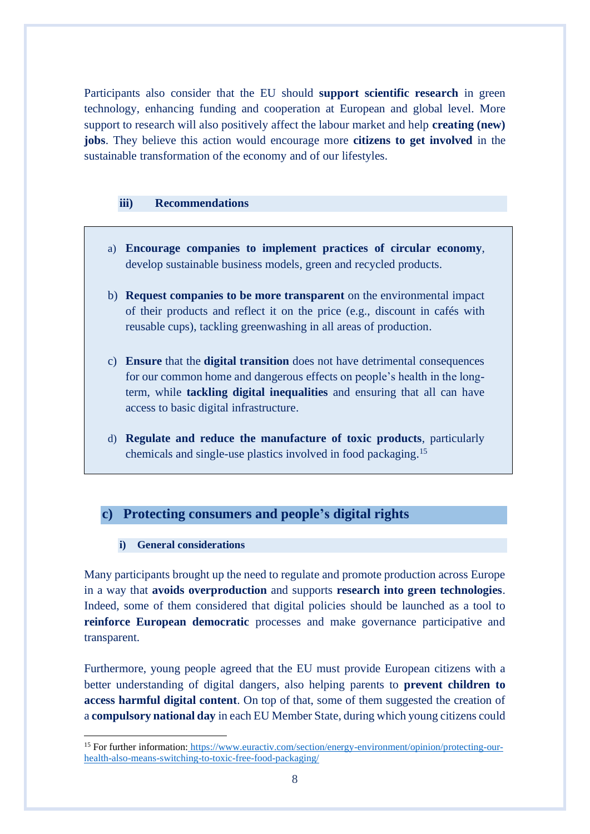Participants also consider that the EU should **support scientific research** in green technology, enhancing funding and cooperation at European and global level. More support to research will also positively affect the labour market and help **creating (new) jobs**. They believe this action would encourage more **citizens to get involved** in the sustainable transformation of the economy and of our lifestyles.

#### **iii) Recommendations**

- a) **Encourage companies to implement practices of circular economy**, develop sustainable business models, green and recycled products.
- b) **Request companies to be more transparent** on the environmental impact of their products and reflect it on the price (e.g., discount in cafés with reusable cups), tackling greenwashing in all areas of production.
- c) **Ensure** that the **digital transition** does not have detrimental consequences for our common home and dangerous effects on people's health in the longterm, while **tackling digital inequalities** and ensuring that all can have access to basic digital infrastructure.
- d) **Regulate and reduce the manufacture of toxic products**, particularly chemicals and single-use plastics involved in food packaging. 15

## **c) Protecting consumers and people's digital rights**

#### **i) General considerations**

Many participants brought up the need to regulate and promote production across Europe in a way that **avoids overproduction** and supports **research into green technologies**. Indeed, some of them considered that digital policies should be launched as a tool to **reinforce European democratic** processes and make governance participative and transparent.

Furthermore, young people agreed that the EU must provide European citizens with a better understanding of digital dangers, also helping parents to **prevent children to access harmful digital content**. On top of that, some of them suggested the creation of a **compulsory national day** in each EU Member State, during which young citizens could

<sup>15</sup> For further information: [https://www.euractiv.com/section/energy-environment/opinion/protecting-our](https://www.euractiv.com/section/energy-environment/opinion/protecting-our-health-also-means-switching-to-toxic-free-food-packaging/)[health-also-means-switching-to-toxic-free-food-packaging/](https://www.euractiv.com/section/energy-environment/opinion/protecting-our-health-also-means-switching-to-toxic-free-food-packaging/)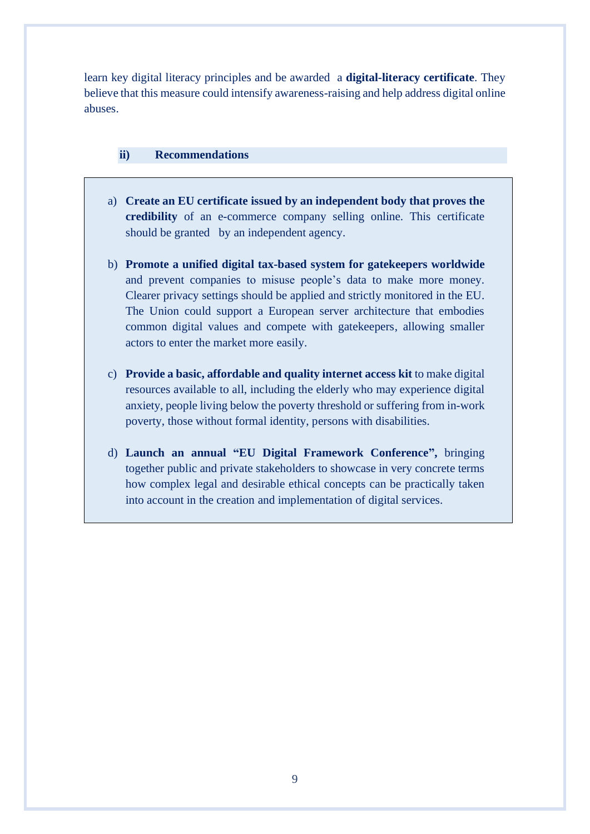learn key digital literacy principles and be awarded a **digital-literacy certificate**. They believe that this measure could intensify awareness-raising and help address digital online abuses.

#### **ii) Recommendations**

- a) **Create an EU certificate issued by an independent body that proves the credibility** of an e-commerce company selling online. This certificate should be granted by an independent agency.
- b) **Promote a unified digital tax-based system for gatekeepers worldwide** and prevent companies to misuse people's data to make more money. Clearer privacy settings should be applied and strictly monitored in the EU. The Union could support a European server architecture that embodies common digital values and compete with gatekeepers, allowing smaller actors to enter the market more easily.
- c) **Provide a basic, affordable and quality internet access kit** to make digital resources available to all, including the elderly who may experience digital anxiety, people living below the poverty threshold or suffering from in-work poverty, those without formal identity, persons with disabilities.
- d) **Launch an annual "EU Digital Framework Conference",** bringing together public and private stakeholders to showcase in very concrete terms how complex legal and desirable ethical concepts can be practically taken into account in the creation and implementation of digital services.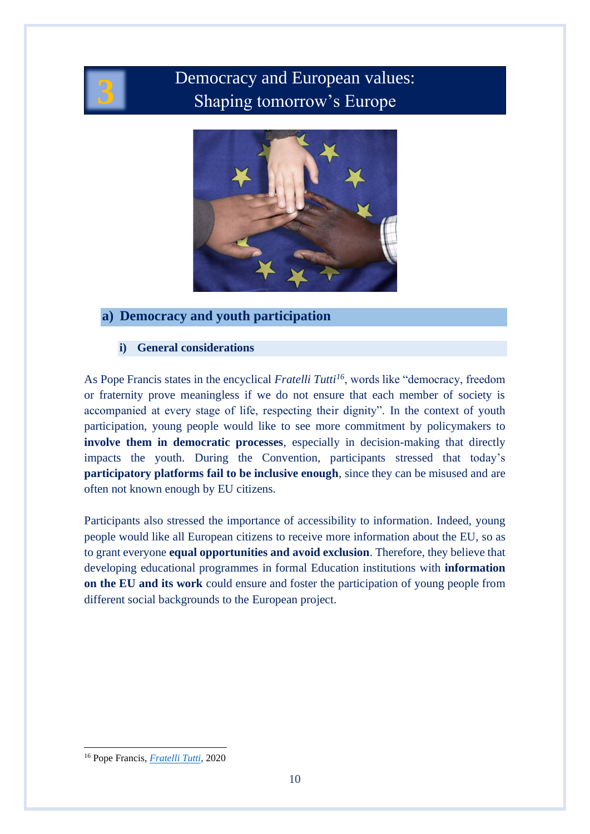

# Democracy and European values:<br>**Shaping tomorrow's Europe**



# **a) Democracy and youth participation**

## **i) General considerations**

As Pope Francis states in the encyclical *Fratelli Tutti<sup>16</sup>*, words like "democracy, freedom or fraternity prove meaningless if we do not ensure that each member of society is accompanied at every stage of life, respecting their dignity". In the context of youth participation, young people would like to see more commitment by policymakers to **involve them in democratic processes**, especially in decision-making that directly impacts the youth. During the Convention, participants stressed that today's **participatory platforms fail to be inclusive enough**, since they can be misused and are often not known enough by EU citizens.

Participants also stressed the importance of accessibility to information. Indeed, young people would like all European citizens to receive more information about the EU, so as to grant everyone **equal opportunities and avoid exclusion**. Therefore, they believe that developing educational programmes in formal Education institutions with **information on the EU and its work** could ensure and foster the participation of young people from different social backgrounds to the European project.

<sup>16</sup> Pope Francis, *[Fratelli Tutti](https://www.vatican.va/content/francesco/en/encyclicals/documents/papa-francesco_20201003_enciclica-fratelli-tutti.html)*, 2020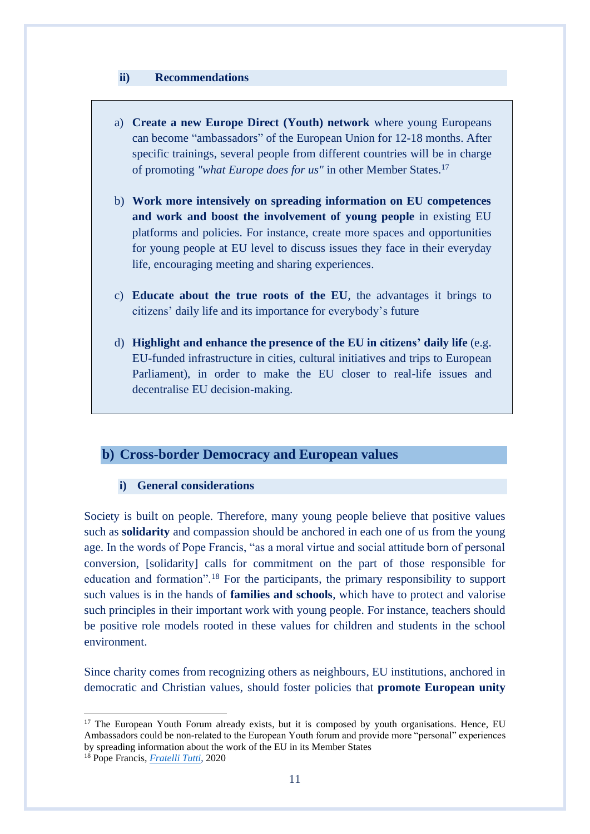#### **ii) Recommendations**

- a) **Create a new Europe Direct (Youth) network** where young Europeans can become "ambassadors" of the European Union for 12-18 months. After specific trainings, several people from different countries will be in charge of promoting *"what Europe does for us"* in other Member States. 17
- b) **Work more intensively on spreading information on EU competences and work and boost the involvement of young people** in existing EU platforms and policies. For instance, create more spaces and opportunities for young people at EU level to discuss issues they face in their everyday life, encouraging meeting and sharing experiences.
- c) **Educate about the true roots of the EU**, the advantages it brings to citizens' daily life and its importance for everybody's future
- d) **Highlight and enhance the presence of the EU in citizens' daily life** (e.g. EU-funded infrastructure in cities, cultural initiatives and trips to European Parliament), in order to make the EU closer to real-life issues and decentralise EU decision-making.

# **b) Cross-border Democracy and European values**

#### **i) General considerations**

Society is built on people. Therefore, many young people believe that positive values such as **solidarity** and compassion should be anchored in each one of us from the young age. In the words of Pope Francis, "as a moral virtue and social attitude born of personal conversion, [solidarity] calls for commitment on the part of those responsible for education and formation".<sup>18</sup> For the participants, the primary responsibility to support such values is in the hands of **families and schools**, which have to protect and valorise such principles in their important work with young people. For instance, teachers should be positive role models rooted in these values for children and students in the school environment.

Since charity comes from recognizing others as neighbours, EU institutions, anchored in democratic and Christian values, should foster policies that **promote European unity** 

<sup>&</sup>lt;sup>17</sup> The European Youth Forum already exists, but it is composed by youth organisations. Hence, EU Ambassadors could be non-related to the European Youth forum and provide more "personal" experiences by spreading information about the work of the EU in its Member States

<sup>18</sup> Pope Francis, *[Fratelli Tutti](https://www.vatican.va/content/francesco/en/encyclicals/documents/papa-francesco_20201003_enciclica-fratelli-tutti.html)*, 2020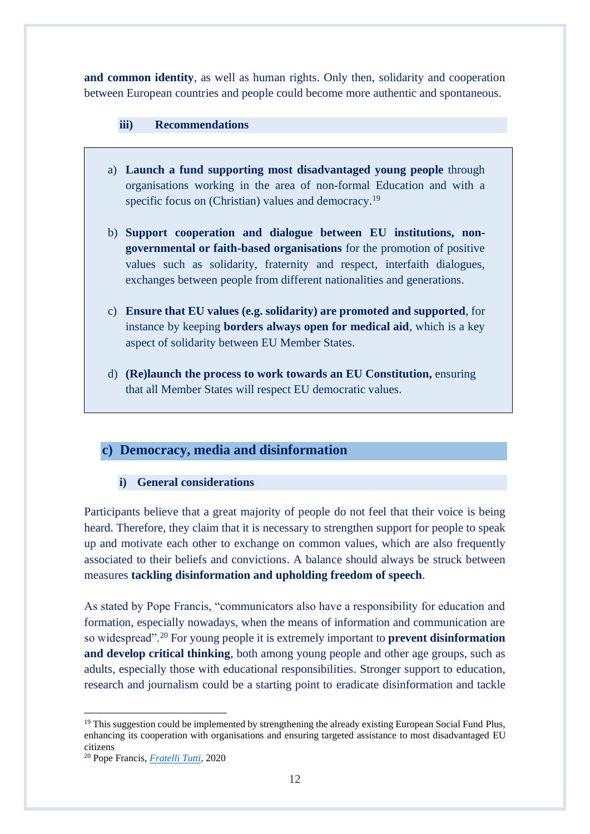**and common identity**, as well as human rights. Only then, solidarity and cooperation between European countries and people could become more authentic and spontaneous.

#### **iii) Recommendations**

- a) **Launch a fund supporting most disadvantaged young people** through organisations working in the area of non-formal Education and with a specific focus on (Christian) values and democracy.<sup>19</sup>
- b) **Support cooperation and dialogue between EU institutions, nongovernmental or faith-based organisations** for the promotion of positive values such as solidarity, fraternity and respect, interfaith dialogues, exchanges between people from different nationalities and generations.
- c) **Ensure that EU values (e.g. solidarity) are promoted and supported**, for instance by keeping **borders always open for medical aid**, which is a key aspect of solidarity between EU Member States.
- d) **(Re)launch the process to work towards an EU Constitution,** ensuring that all Member States will respect EU democratic values.

# **c) Democracy, media and disinformation**

#### **i) General considerations**

Participants believe that a great majority of people do not feel that their voice is being heard. Therefore, they claim that it is necessary to strengthen support for people to speak up and motivate each other to exchange on common values, which are also frequently associated to their beliefs and convictions. A balance should always be struck between measures **tackling disinformation and upholding freedom of speech**.

As stated by Pope Francis, "communicators also have a responsibility for education and formation, especially nowadays, when the means of information and communication are so widespread".<sup>20</sup> For young people it is extremely important to **prevent disinformation and develop critical thinking**, both among young people and other age groups, such as adults, especially those with educational responsibilities. Stronger support to education, research and journalism could be a starting point to eradicate disinformation and tackle

<sup>&</sup>lt;sup>19</sup> This suggestion could be implemented by strengthening the already existing European Social Fund Plus, enhancing its cooperation with organisations and ensuring targeted assistance to most disadvantaged EU citizens

<sup>20</sup> Pope Francis, *[Fratelli Tutti](https://www.vatican.va/content/francesco/en/encyclicals/documents/papa-francesco_20201003_enciclica-fratelli-tutti.html)*, 2020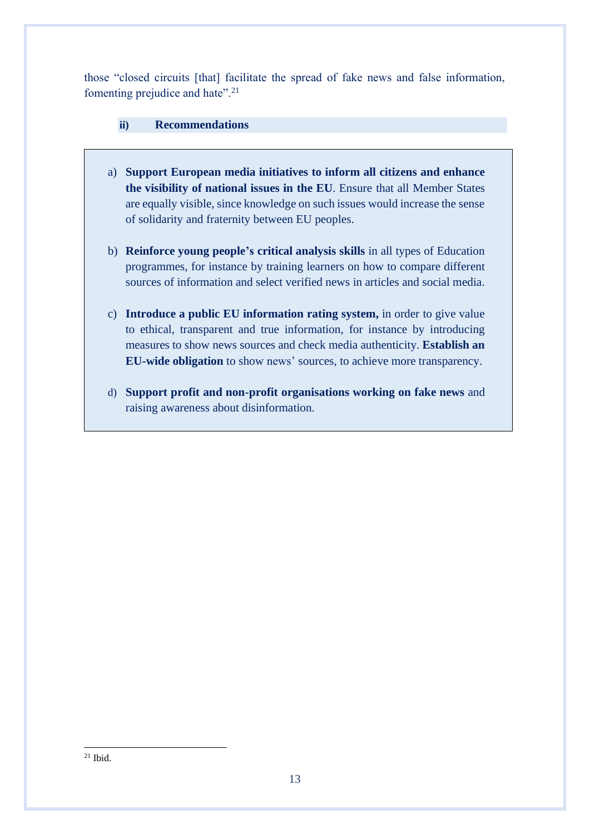those "closed circuits [that] facilitate the spread of fake news and false information, fomenting prejudice and hate".<sup>21</sup>

### **ii) Recommendations**

- a) **Support European media initiatives to inform all citizens and enhance the visibility of national issues in the EU**. Ensure that all Member States are equally visible, since knowledge on such issues would increase the sense of solidarity and fraternity between EU peoples.
- b) **Reinforce young people's critical analysis skills** in all types of Education programmes, for instance by training learners on how to compare different sources of information and select verified news in articles and social media.
- c) **Introduce a public EU information rating system,** in order to give value to ethical, transparent and true information, for instance by introducing measures to show news sources and check media authenticity. **Establish an EU-wide obligation** to show news' sources, to achieve more transparency.
- d) **Support profit and non-profit organisations working on fake news** and raising awareness about disinformation.